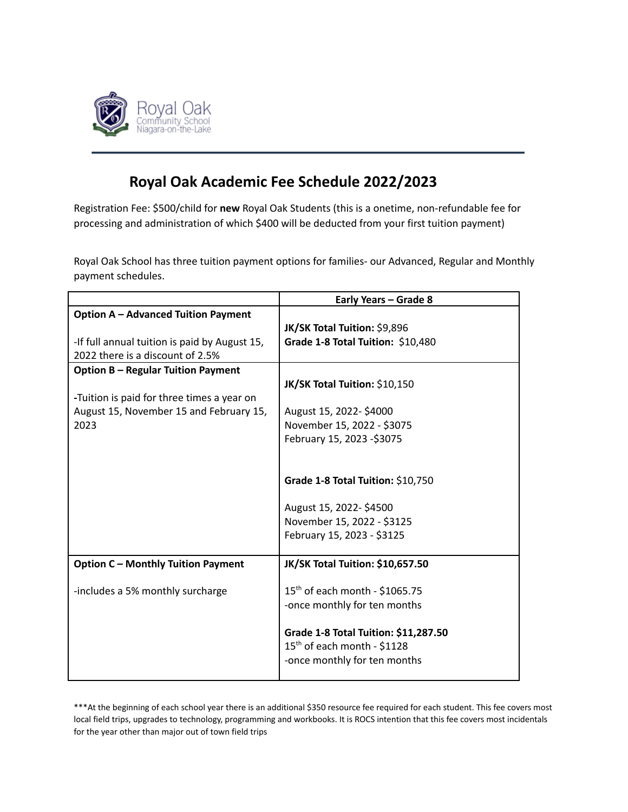

## **Royal Oak Academic Fee Schedule 2022/2023**

Registration Fee: \$500/child for **new** Royal Oak Students (this is a onetime, non-refundable fee for processing and administration of which \$400 will be deducted from your first tuition payment)

Royal Oak School has three tuition payment options for families- our Advanced, Regular and Monthly payment schedules.

|                                               | Early Years - Grade 8                      |
|-----------------------------------------------|--------------------------------------------|
| <b>Option A - Advanced Tuition Payment</b>    |                                            |
|                                               | JK/SK Total Tuition: \$9,896               |
| -If full annual tuition is paid by August 15, | Grade 1-8 Total Tuition: \$10,480          |
| 2022 there is a discount of 2.5%              |                                            |
| <b>Option B - Regular Tuition Payment</b>     |                                            |
|                                               | JK/SK Total Tuition: \$10,150              |
| -Tuition is paid for three times a year on    |                                            |
| August 15, November 15 and February 15,       | August 15, 2022-\$4000                     |
| 2023                                          | November 15, 2022 - \$3075                 |
|                                               | February 15, 2023 -\$3075                  |
|                                               |                                            |
|                                               |                                            |
|                                               | Grade 1-8 Total Tuition: \$10,750          |
|                                               |                                            |
|                                               | August 15, 2022-\$4500                     |
|                                               | November 15, 2022 - \$3125                 |
|                                               | February 15, 2023 - \$3125                 |
|                                               |                                            |
| <b>Option C - Monthly Tuition Payment</b>     | JK/SK Total Tuition: \$10,657.50           |
|                                               |                                            |
| -includes a 5% monthly surcharge              | 15 <sup>th</sup> of each month - \$1065.75 |
|                                               | -once monthly for ten months               |
|                                               |                                            |
|                                               | Grade 1-8 Total Tuition: \$11,287.50       |
|                                               | 15 <sup>th</sup> of each month - \$1128    |
|                                               | -once monthly for ten months               |
|                                               |                                            |

\*\*\*At the beginning of each school year there is an additional \$350 resource fee required for each student. This fee covers most local field trips, upgrades to technology, programming and workbooks. It is ROCS intention that this fee covers most incidentals for the year other than major out of town field trips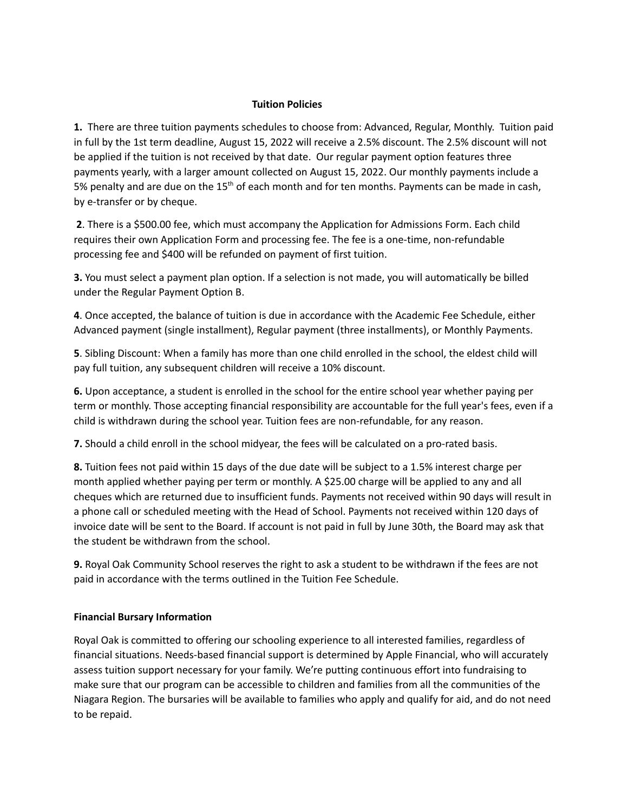## **Tuition Policies**

**1.** There are three tuition payments schedules to choose from: Advanced, Regular, Monthly. Tuition paid in full by the 1st term deadline, August 15, 2022 will receive a 2.5% discount. The 2.5% discount will not be applied if the tuition is not received by that date. Our regular payment option features three payments yearly, with a larger amount collected on August 15, 2022. Our monthly payments include a 5% penalty and are due on the 15<sup>th</sup> of each month and for ten months. Payments can be made in cash, by e-transfer or by cheque.

**2**. There is a \$500.00 fee, which must accompany the Application for Admissions Form. Each child requires their own Application Form and processing fee. The fee is a one-time, non-refundable processing fee and \$400 will be refunded on payment of first tuition.

**3.** You must select a payment plan option. If a selection is not made, you will automatically be billed under the Regular Payment Option B.

**4**. Once accepted, the balance of tuition is due in accordance with the Academic Fee Schedule, either Advanced payment (single installment), Regular payment (three installments), or Monthly Payments.

**5**. Sibling Discount: When a family has more than one child enrolled in the school, the eldest child will pay full tuition, any subsequent children will receive a 10% discount.

**6.** Upon acceptance, a student is enrolled in the school for the entire school year whether paying per term or monthly. Those accepting financial responsibility are accountable for the full year's fees, even if a child is withdrawn during the school year. Tuition fees are non-refundable, for any reason.

**7.** Should a child enroll in the school midyear, the fees will be calculated on a pro-rated basis.

**8.** Tuition fees not paid within 15 days of the due date will be subject to a 1.5% interest charge per month applied whether paying per term or monthly. A \$25.00 charge will be applied to any and all cheques which are returned due to insufficient funds. Payments not received within 90 days will result in a phone call or scheduled meeting with the Head of School. Payments not received within 120 days of invoice date will be sent to the Board. If account is not paid in full by June 30th, the Board may ask that the student be withdrawn from the school.

**9.** Royal Oak Community School reserves the right to ask a student to be withdrawn if the fees are not paid in accordance with the terms outlined in the Tuition Fee Schedule.

## **Financial Bursary Information**

Royal Oak is committed to offering our schooling experience to all interested families, regardless of financial situations. Needs-based financial support is determined by Apple Financial, who will accurately assess tuition support necessary for your family. We're putting continuous effort into fundraising to make sure that our program can be accessible to children and families from all the communities of the Niagara Region. The bursaries will be available to families who apply and qualify for aid, and do not need to be repaid.